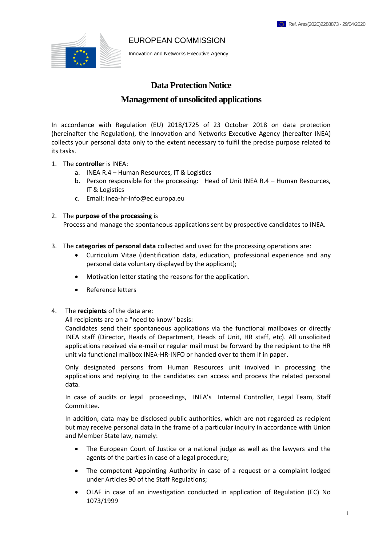#### EUROPEAN COMMISSION



Innovation and Networks Executive Agency

# **Data Protection Notice**

# **Management of unsolicited applications**

In accordance with Regulation (EU) 2018/1725 of 23 October 2018 on data protection (hereinafter the Regulation), the Innovation and Networks Executive Agency (hereafter INEA) collects your personal data only to the extent necessary to fulfil the precise purpose related to its tasks.

- 1. The **controller** is INEA:
	- a. INEA R.4 Human Resources, IT & Logistics
	- b. Person responsible for the processing: Head of Unit INEA R.4 Human Resources, IT & Logistics
	- c. Email: inea-hr-info@ec.europa.eu

## 2. The **purpose of the processing** is

Process and manage the spontaneous applications sent by prospective candidates to INEA.

- 3. The **categories of personal data** collected and used for the processing operations are:
	- Curriculum Vitae (identification data, education, professional experience and any personal data voluntary displayed by the applicant);
	- Motivation letter stating the reasons for the application.
	- Reference letters
- 4. The **recipients** of the data are:

All recipients are on a "need to know" basis:

Candidates send their spontaneous applications via the functional mailboxes or directly INEA staff (Director, Heads of Department, Heads of Unit, HR staff, etc). All unsolicited applications received via e-mail or regular mail must be forward by the recipient to the HR unit via functional mailbox INEA-HR-INFO or handed over to them if in paper.

Only designated persons from Human Resources unit involved in processing the applications and replying to the candidates can access and process the related personal data.

In case of audits or legal proceedings, INEA's Internal Controller, Legal Team, Staff Committee.

In addition, data may be disclosed public authorities, which are not regarded as recipient but may receive personal data in the frame of a particular inquiry in accordance with Union and Member State law, namely:

- The European Court of Justice or a national judge as well as the lawyers and the agents of the parties in case of a legal procedure;
- The competent Appointing Authority in case of a request or a complaint lodged under Articles 90 of the Staff Regulations;
- OLAF in case of an investigation conducted in application of Regulation (EC) No 1073/1999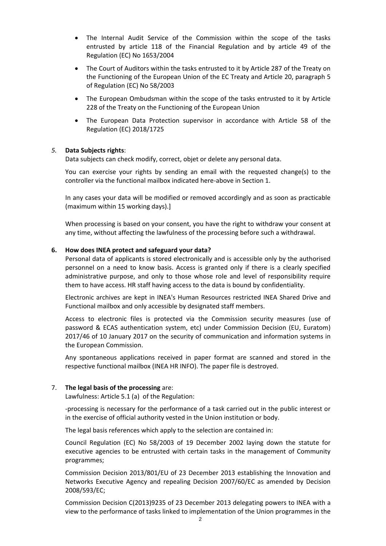- The Internal Audit Service of the Commission within the scope of the tasks entrusted by article 118 of the Financial Regulation and by article 49 of the Regulation (EC) No 1653/2004
- The Court of Auditors within the tasks entrusted to it by Article 287 of the Treaty on the Functioning of the European Union of the EC Treaty and Article 20, paragraph 5 of Regulation (EC) No 58/2003
- The European Ombudsman within the scope of the tasks entrusted to it by Article 228 of the Treaty on the Functioning of the European Union
- The European Data Protection supervisor in accordance with Article 58 of the Regulation (EC) 2018/1725

## *5.* **Data Subjects rights**:

Data subjects can check modify, correct, objet or delete any personal data.

You can exercise your rights by sending an email with the requested change(s) to the controller via the functional mailbox indicated here-above in Section 1.

In any cases your data will be modified or removed accordingly and as soon as practicable (maximum within 15 working days).]

When processing is based on your consent, you have the right to withdraw your consent at any time, without affecting the lawfulness of the processing before such a withdrawal.

### **6. How does INEA protect and safeguard your data?**

Personal data of applicants is stored electronically and is accessible only by the authorised personnel on a need to know basis. Access is granted only if there is a clearly specified administrative purpose, and only to those whose role and level of responsibility require them to have access. HR staff having access to the data is bound by confidentiality.

Electronic archives are kept in INEA's Human Resources restricted INEA Shared Drive and Functional mailbox and only accessible by designated staff members.

Access to electronic files is protected via the Commission security measures (use of password & ECAS authentication system, etc) under Commission Decision (EU, Euratom) 2017/46 of 10 January 2017 on the security of communication and information systems in the European Commission.

Any spontaneous applications received in paper format are scanned and stored in the respective functional mailbox (INEA HR INFO). The paper file is destroyed.

### 7. **The legal basis of the processing** are:

Lawfulness: Article 5.1 (a) of the Regulation:

-processing is necessary for the performance of a task carried out in the public interest or in the exercise of official authority vested in the Union institution or body.

The legal basis references which apply to the selection are contained in:

Council Regulation (EC) No 58/2003 of 19 December 2002 laying down the statute for executive agencies to be entrusted with certain tasks in the management of Community programmes;

Commission Decision 2013/801/EU of 23 December 2013 establishing the Innovation and Networks Executive Agency and repealing Decision 2007/60/EC as amended by Decision 2008/593/EC;

Commission Decision C(2013)9235 of 23 December 2013 delegating powers to INEA with a view to the performance of tasks linked to implementation of the Union programmes in the